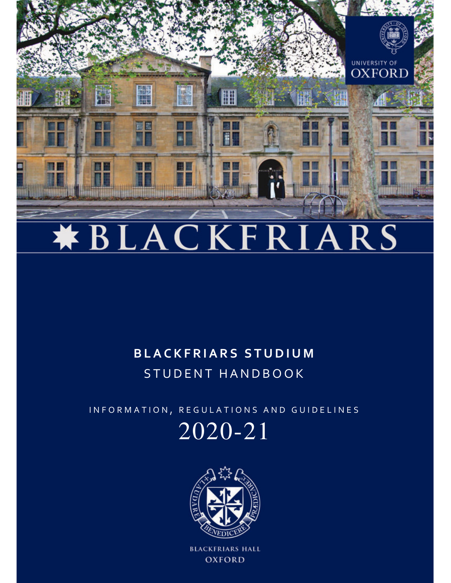

# **\*BLACKFRIARS**

# **B L A C K F R I A R S S T U D I U M** STUDENT HANDBOOK

INFORMATION, REGULATIONS AND GUIDELINES

# 2020-21



**BLACKFRIARS HALL OXFORD**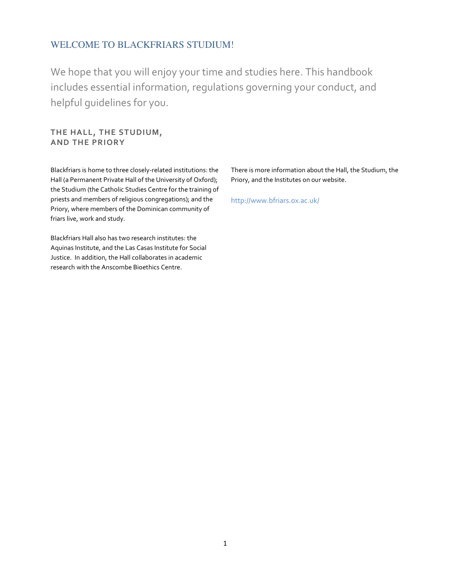# WELCOME TO BLACKFRIARS STUDIUM!

We hope that you will enjoy your time and studies here. This handbook includes essential information, regulations governing your conduct, and helpful guidelines for you.

**THE HALL, THE STUDIUM, AND THE PRIORY** 

Blackfriars is home to three closely-related institutions: the Hall (a Permanent Private Hall of the University of Oxford); the Studium (the Catholic Studies Centre for the training of priests and members of religious congregations); and the Priory, where members of the Dominican community of friars live, work and study.

Blackfriars Hall also has two research institutes: the Aquinas Institute, and the Las Casas Institute for Social Justice. In addition, the Hall collaborates in academic research with the Anscombe Bioethics Centre.

There is more information about the Hall, the Studium, the Priory, and the Institutes on our website.

http://www.bfriars.ox.ac.uk/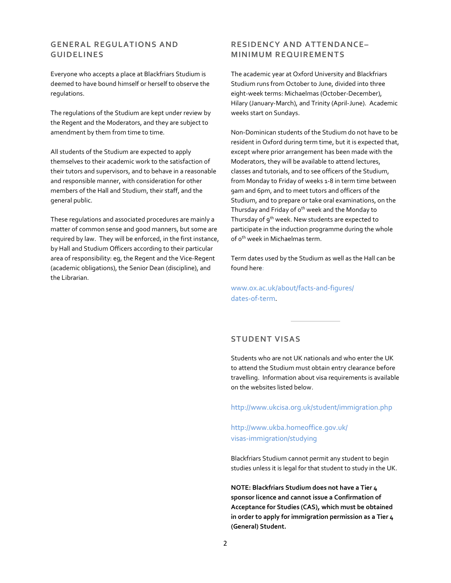# **GENERAL REGULATIONS AND GUIDELINES**

Everyone who accepts a place at Blackfriars Studium is deemed to have bound himself or herself to observe the regulations.

The regulations of the Studium are kept under review by the Regent and the Moderators, and they are subject to amendment by them from time to time.

All students of the Studium are expected to apply themselves to their academic work to the satisfaction of their tutors and supervisors, and to behave in a reasonable and responsible manner, with consideration for other members of the Hall and Studium, their staff, and the general public.

These regulations and associated procedures are mainly a matter of common sense and good manners, but some are required by law. They will be enforced, in the first instance, by Hall and Studium Officers according to their particular area of responsibility: eg, the Regent and the Vice-Regent (academic obligations), the Senior Dean (discipline), and the Librarian.

# **RESIDENCY AND ATTENDANCE– MINIMUM REQUIREMENTS**

The academic year at Oxford University and Blackfriars Studium runs from October to June, divided into three eight-week terms: Michaelmas (October-December), Hilary (January-March), and Trinity (April-June). Academic weeks start on Sundays.

Non-Dominican students of the Studium do not have to be resident in Oxford during term time, but it is expected that, except where prior arrangement has been made with the Moderators, they will be available to attend lectures, classes and tutorials, and to see officers of the Studium, from Monday to Friday of weeks 1-8 in term time between 9am and 6pm, and to meet tutors and officers of the Studium, and to prepare or take oral examinations, on the Thursday and Friday of o<sup>th</sup> week and the Monday to Thursday of 9<sup>th</sup> week. New students are expected to participate in the induction programme during the whole of o<sup>th</sup> week in Michaelmas term.

Term dates used by the Studium as well as the Hall can be found here:

www.ox.ac.uk/about/facts-and-figures/ dates-of-term.

# **STUDENT VISAS**

Students who are not UK nationals and who enter the UK to attend the Studium must obtain entry clearance before travelling. Information about visa requirements is available on the websites listed below.

http://www.ukcisa.org.uk/student/immigration.php

http://www.ukba.homeoffice.gov.uk/ visas-immigration/studying

Blackfriars Studium cannot permit any student to begin studies unless it is legal for that student to study in the UK.

**NOTE: Blackfriars Studium does not have a Tier 4 sponsor licence and cannot issue a Confirmation of Acceptance for Studies (CAS), which must be obtained in order to apply for immigration permission as a Tier 4 (General) Student.**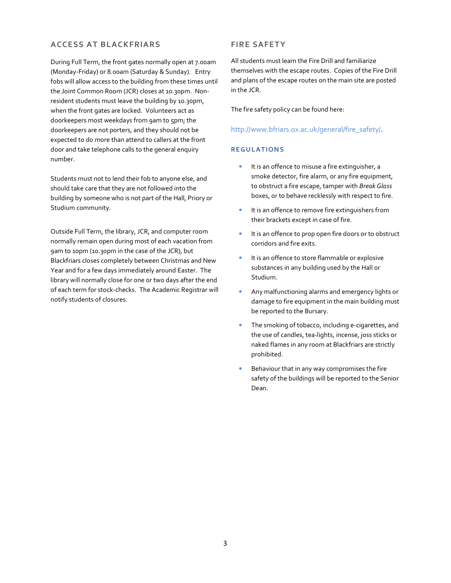# **ACCESS AT BLACKFRIARS**

During Full Term, the front gates normally open at 7.00am (Monday-Friday) or 8.00am (Saturday & Sunday). Entry fobs will allow access to the building from these times until the Joint Common Room (JCR) closes at 10.30pm. Nonresident students must leave the building by 10.30pm, when the front gates are locked. Volunteers act as doorkeepers most weekdays from 9am to 5pm; the doorkeepers are not porters, and they should not be expected to do more than attend to callers at the front door and take telephone calls to the general enquiry number.

Students must not to lend their fob to anyone else, and should take care that they are not followed into the building by someone who is not part of the Hall, Priory or Studium community.

Outside Full Term, the library, JCR, and computer room normally remain open during most of each vacation from 9am to 10pm (10.30pm in the case of the JCR), but Blackfriars closes completely between Christmas and New Year and for a few days immediately around Easter. The library will normally close for one or two days after the end of each term for stock-checks. The Academic Registrar will notify students of closures.

# **FIRE SAFETY**

All students must learn the Fire Drill and familiarize themselves with the escape routes. Copies of the Fire Drill and plans of the escape routes on the main site are posted in the JCR.

The fire safety policy can be found here:

http://www.bfriars.ox.ac.uk/general/fire\_safety/.

#### **RE GU L AT ION S**

- It is an offence to misuse a fire extinguisher, a smoke detector, fire alarm, or any fire equipment, to obstruct a fire escape, tamper with *Break Glass* boxes, or to behave recklessly with respect to fire.
- It is an offence to remove fire extinguishers from their brackets except in case of fire.
- It is an offence to prop open fire doors or to obstruct corridors and fire exits.
- It is an offence to store flammable or explosive substances in any building used by the Hall or Studium.
- Any malfunctioning alarms and emergency lights or damage to fire equipment in the main building must be reported to the Bursary.
- The smoking of tobacco, including e-cigarettes, and the use of candles, tea-lights, incense, joss sticks or naked flames in any room at Blackfriars are strictly prohibited.
- Behaviour that in any way compromises the fire safety of the buildings will be reported to the Senior Dean.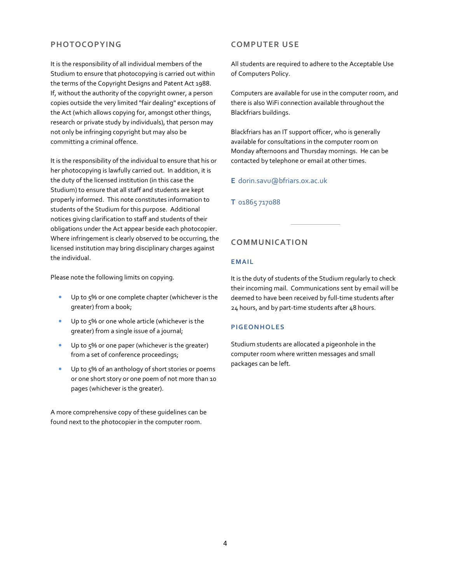# **PHOTOCOPYING**

It is the responsibility of all individual members of the Studium to ensure that photocopying is carried out within the terms of the Copyright Designs and Patent Act 1988. If, without the authority of the copyright owner, a person copies outside the very limited "fair dealing" exceptions of the Act (which allows copying for, amongst other things, research or private study by individuals), that person may not only be infringing copyright but may also be committing a criminal offence.

It is the responsibility of the individual to ensure that his or her photocopying is lawfully carried out. In addition, it is the duty of the licensed institution (in this case the Studium) to ensure that all staff and students are kept properly informed. This note constitutes information to students of the Studium for this purpose. Additional notices giving clarification to staff and students of their obligations under the Act appear beside each photocopier. Where infringement is clearly observed to be occurring, the licensed institution may bring disciplinary charges against the individual.

Please note the following limits on copying.

- Up to 5% or one complete chapter (whichever is the greater) from a book;
- Up to 5% or one whole article (whichever is the greater) from a single issue of a journal;
- Up to 5% or one paper (whichever is the greater) from a set of conference proceedings;
- Up to 5% of an anthology of short stories or poems or one short story or one poem of not more than 10 pages (whichever is the greater).

A more comprehensive copy of these guidelines can be found next to the photocopier in the computer room.

# **COMPUTER USE**

All students are required to adhere to the Acceptable Use of Computers Policy.

Computers are available for use in the computer room, and there is also WiFi connection available throughout the Blackfriars buildings.

Blackfriars has an IT support officer, who is generally available for consultations in the computer room on Monday afternoons and Thursday mornings. He can be contacted by telephone or email at other times.

# **E** dorin.savu@bfriars.ox.ac.uk

# **T** 01865 717088

# **COMMUNICATION**

# **E MAI L**

It is the duty of students of the Studium regularly to check their incoming mail. Communications sent by email will be deemed to have been received by full-time students after 24 hours, and by part-time students after 48 hours.

#### **P I GEON HOL E S**

Studium students are allocated a pigeonhole in the computer room where written messages and small packages can be left.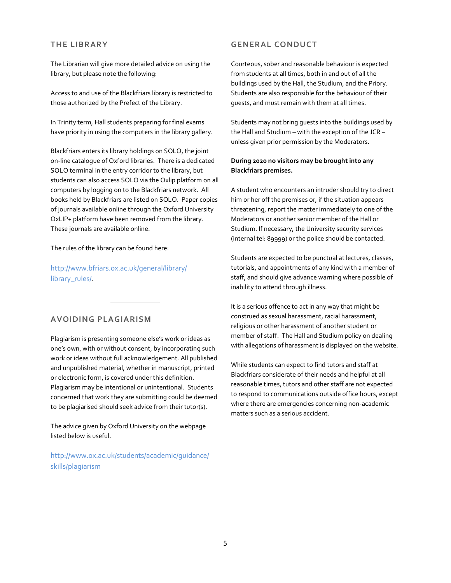# **THE LIBRARY**

# **GENERAL CONDUCT**

The Librarian will give more detailed advice on using the library, but please note the following:

Access to and use of the Blackfriars library is restricted to those authorized by the Prefect of the Library.

In Trinity term, Hall students preparing for final exams have priority in using the computers in the library gallery.

Blackfriars enters its library holdings on SOLO, the joint on-line catalogue of Oxford libraries. There is a dedicated SOLO terminal in the entry corridor to the library, but students can also access SOLO via the Oxlip platform on all computers by logging on to the Blackfriars network. All books held by Blackfriars are listed on SOLO. Paper copies of journals available online through the Oxford University OxLIP+ platform have been removed from the library. These journals are available online.

#### The rules of the library can be found here:

http://www.bfriars.ox.ac.uk/general/library/ library\_rules/.

### **AVOIDING PLAGIARISM**

Plagiarism is presenting someone else's work or ideas as one's own, with or without consent, by incorporating such work or ideas without full acknowledgement. All published and unpublished material, whether in manuscript, printed or electronic form, is covered under this definition. Plagiarism may be intentional or unintentional. Students concerned that work they are submitting could be deemed to be plagiarised should seek advice from their tutor(s).

The advice given by Oxford University on the webpage listed below is useful.

http://www.ox.ac.uk/students/academic/guidance/ skills/plagiarism

Courteous, sober and reasonable behaviour is expected from students at all times, both in and out of all the buildings used by the Hall, the Studium, and the Priory. Students are also responsible for the behaviour of their guests, and must remain with them at all times.

Students may not bring guests into the buildings used by the Hall and Studium – with the exception of the JCR – unless given prior permission by the Moderators.

### **During 2020 no visitors may be brought into any Blackfriars premises.**

A student who encounters an intruder should try to direct him or her off the premises or, if the situation appears threatening, report the matter immediately to one of the Moderators or another senior member of the Hall or Studium. If necessary, the University security services (internal tel: 89999) or the police should be contacted.

Students are expected to be punctual at lectures, classes, tutorials, and appointments of any kind with a member of staff, and should give advance warning where possible of inability to attend through illness.

It is a serious offence to act in any way that might be construed as sexual harassment, racial harassment, religious or other harassment of another student or member of staff. The Hall and Studium policy on dealing with allegations of harassment is displayed on the website.

While students can expect to find tutors and staff at Blackfriars considerate of their needs and helpful at all reasonable times, tutors and other staff are not expected to respond to communications outside office hours, except where there are emergencies concerning non-academic matters such as a serious accident.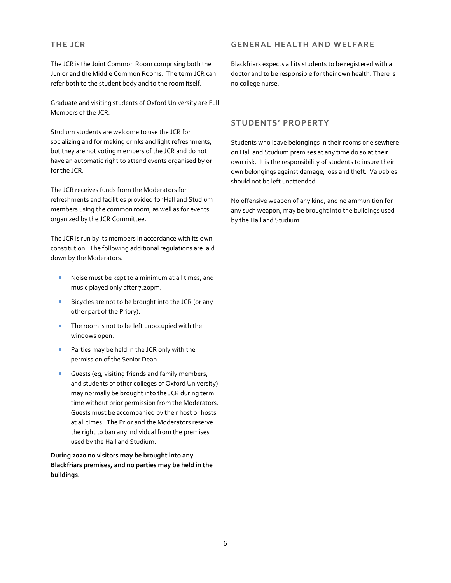# **THE JCR**

The JCR is the Joint Common Room comprising both the Junior and the Middle Common Rooms. The term JCR can refer both to the student body and to the room itself.

Graduate and visiting students of Oxford University are Full Members of the JCR.

Studium students are welcome to use the JCR for socializing and for making drinks and light refreshments, but they are not voting members of the JCR and do not have an automatic right to attend events organised by or for the JCR.

The JCR receives funds from the Moderators for refreshments and facilities provided for Hall and Studium members using the common room, as well as for events organized by the JCR Committee.

The JCR is run by its members in accordance with its own constitution. The following additional regulations are laid down by the Moderators.

- Noise must be kept to a minimum at all times, and music played only after 7.20pm.
- Bicycles are not to be brought into the JCR (or any other part of the Priory).
- The room is not to be left unoccupied with the windows open.
- Parties may be held in the JCR only with the permission of the Senior Dean.
- Guests (eg, visiting friends and family members, and students of other colleges of Oxford University) may normally be brought into the JCR during term time without prior permission from the Moderators. Guests must be accompanied by their host or hosts at all times. The Prior and the Moderators reserve the right to ban any individual from the premises used by the Hall and Studium.

**During 2020 no visitors may be brought into any Blackfriars premises, and no parties may be held in the buildings.** 

# **GENERAL HEALTH AND WELFARE**

Blackfriars expects all its students to be registered with a doctor and to be responsible for their own health. There is no college nurse.

# **STUDENTS' PROPERTY**

Students who leave belongings in their rooms or elsewhere on Hall and Studium premises at any time do so at their own risk. It is the responsibility of students to insure their own belongings against damage, loss and theft. Valuables should not be left unattended.

No offensive weapon of any kind, and no ammunition for any such weapon, may be brought into the buildings used by the Hall and Studium.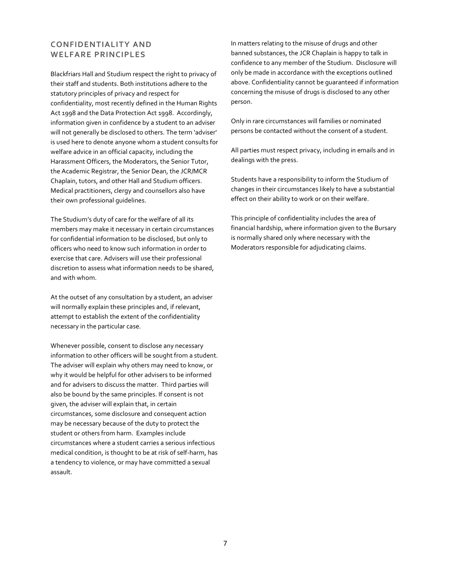# **CONFIDENTIALITY AND WELFARE PRINCIPLES**

Blackfriars Hall and Studium respect the right to privacy of their staff and students. Both institutions adhere to the statutory principles of privacy and respect for confidentiality, most recently defined in the Human Rights Act 1998 and the Data Protection Act 1998. Accordingly, information given in confidence by a student to an adviser will not generally be disclosed to others. The term 'adviser' is used here to denote anyone whom a student consults for welfare advice in an official capacity, including the Harassment Officers, the Moderators, the Senior Tutor, the Academic Registrar, the Senior Dean, the JCR/MCR Chaplain, tutors, and other Hall and Studium officers. Medical practitioners, clergy and counsellors also have their own professional guidelines.

The Studium's duty of care for the welfare of all its members may make it necessary in certain circumstances for confidential information to be disclosed, but only to officers who need to know such information in order to exercise that care. Advisers will use their professional discretion to assess what information needs to be shared, and with whom.

At the outset of any consultation by a student, an adviser will normally explain these principles and, if relevant, attempt to establish the extent of the confidentiality necessary in the particular case.

Whenever possible, consent to disclose any necessary information to other officers will be sought from a student. The adviser will explain why others may need to know, or why it would be helpful for other advisers to be informed and for advisers to discuss the matter. Third parties will also be bound by the same principles. If consent is not given, the adviser will explain that, in certain circumstances, some disclosure and consequent action may be necessary because of the duty to protect the student or others from harm. Examples include circumstances where a student carries a serious infectious medical condition, is thought to be at risk of self-harm, has a tendency to violence, or may have committed a sexual assault.

In matters relating to the misuse of drugs and other banned substances, the JCR Chaplain is happy to talk in confidence to any member of the Studium. Disclosure will only be made in accordance with the exceptions outlined above. Confidentiality cannot be guaranteed if information concerning the misuse of drugs is disclosed to any other person.

Only in rare circumstances will families or nominated persons be contacted without the consent of a student.

All parties must respect privacy, including in emails and in dealings with the press.

Students have a responsibility to inform the Studium of changes in their circumstances likely to have a substantial effect on their ability to work or on their welfare.

This principle of confidentiality includes the area of financial hardship, where information given to the Bursary is normally shared only where necessary with the Moderators responsible for adjudicating claims.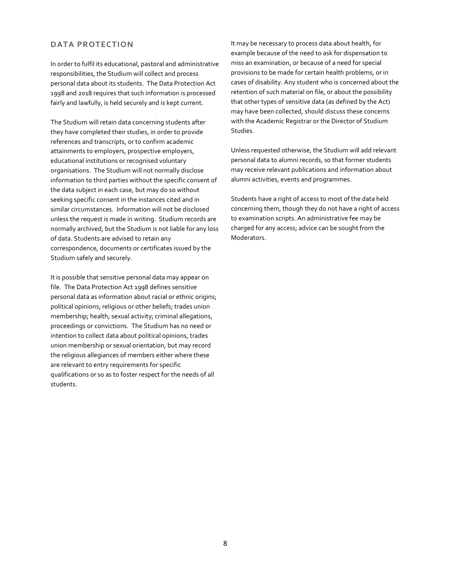# **DATA PROTECTION**

In order to fulfil its educational, pastoral and administrative responsibilities, the Studium will collect and process personal data about its students. The Data Protection Act 1998 and 2018 requires that such information is processed fairly and lawfully, is held securely and is kept current.

The Studium will retain data concerning students after they have completed their studies, in order to provide references and transcripts, or to confirm academic attainments to employers, prospective employers, educational institutions or recognised voluntary organisations. The Studium will not normally disclose information to third parties without the specific consent of the data subject in each case, but may do so without seeking specific consent in the instances cited and in similar circumstances. Information will not be disclosed unless the request is made in writing. Studium records are normally archived, but the Studium is not liable for any loss of data. Students are advised to retain any correspondence, documents or certificates issued by the Studium safely and securely.

It is possible that sensitive personal data may appear on file. The Data Protection Act 1998 defines sensitive personal data as information about racial or ethnic origins; political opinions; religious or other beliefs; trades union membership; health; sexual activity; criminal allegations, proceedings or convictions. The Studium has no need or intention to collect data about political opinions, trades union membership or sexual orientation, but may record the religious allegiances of members either where these are relevant to entry requirements for specific qualifications or so as to foster respect for the needs of all students.

It may be necessary to process data about health, for example because of the need to ask for dispensation to miss an examination, or because of a need for special provisions to be made for certain health problems, or in cases of disability. Any student who is concerned about the retention of such material on file, or about the possibility that other types of sensitive data (as defined by the Act) may have been collected, should discuss these concerns with the Academic Registrar or the Director of Studium Studies.

Unless requested otherwise, the Studium will add relevant personal data to alumni records, so that former students may receive relevant publications and information about alumni activities, events and programmes.

Students have a right of access to most of the data held concerning them, though they do not have a right of access to examination scripts. An administrative fee may be charged for any access; advice can be sought from the Moderators.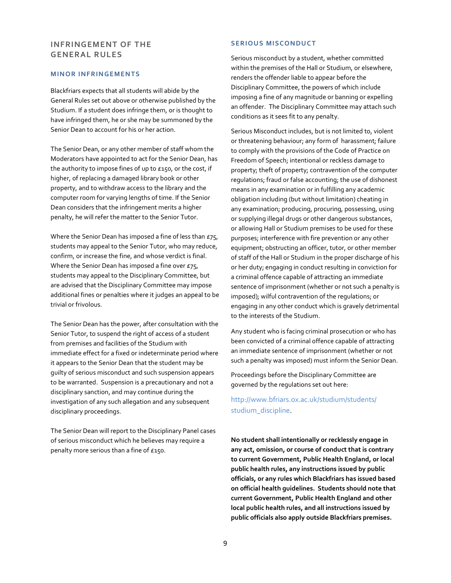# **INFRINGEMENT OF THE GENERAL RULES**

#### **MINOR INFRINGEMENTS**

Blackfriars expects that all students will abide by the General Rules set out above or otherwise published by the Studium. If a student does infringe them, or is thought to have infringed them, he or she may be summoned by the Senior Dean to account for his or her action.

The Senior Dean, or any other member of staff whom the Moderators have appointed to act for the Senior Dean, has the authority to impose fines of up to £150, or the cost, if higher, of replacing a damaged library book or other property, and to withdraw access to the library and the computer room for varying lengths of time. If the Senior Dean considers that the infringement merits a higher penalty, he will refer the matter to the Senior Tutor.

Where the Senior Dean has imposed a fine of less than  $E75$ , students may appeal to the Senior Tutor, who may reduce, confirm, or increase the fine, and whose verdict is final. Where the Senior Dean has imposed a fine over  $E75$ , students may appeal to the Disciplinary Committee, but are advised that the Disciplinary Committee may impose additional fines or penalties where it judges an appeal to be trivial or frivolous.

The Senior Dean has the power, after consultation with the Senior Tutor, to suspend the right of access of a student from premises and facilities of the Studium with immediate effect for a fixed or indeterminate period where it appears to the Senior Dean that the student may be guilty of serious misconduct and such suspension appears to be warranted. Suspension is a precautionary and not a disciplinary sanction, and may continue during the investigation of any such allegation and any subsequent disciplinary proceedings.

The Senior Dean will report to the Disciplinary Panel cases of serious misconduct which he believes may require a penalty more serious than a fine of £150.

#### **SERIOUS MISCONDUCT**

Serious misconduct by a student, whether committed within the premises of the Hall or Studium, or elsewhere, renders the offender liable to appear before the Disciplinary Committee, the powers of which include imposing a fine of any magnitude or banning or expelling an offender. The Disciplinary Committee may attach such conditions as it sees fit to any penalty.

Serious Misconduct includes, but is not limited to, violent or threatening behaviour; any form of harassment; failure to comply with the provisions of the Code of Practice on Freedom of Speech; intentional or reckless damage to property; theft of property; contravention of the computer regulations; fraud or false accounting; the use of dishonest means in any examination or in fulfilling any academic obligation including (but without limitation) cheating in any examination; producing, procuring, possessing, using or supplying illegal drugs or other dangerous substances, or allowing Hall or Studium premises to be used for these purposes; interference with fire prevention or any other equipment; obstructing an officer, tutor, or other member of staff of the Hall or Studium in the proper discharge of his or her duty; engaging in conduct resulting in conviction for a criminal offence capable of attracting an immediate sentence of imprisonment (whether or not such a penalty is imposed); wilful contravention of the regulations; or engaging in any other conduct which is gravely detrimental to the interests of the Studium.

Any student who is facing criminal prosecution or who has been convicted of a criminal offence capable of attracting an immediate sentence of imprisonment (whether or not such a penalty was imposed) must inform the Senior Dean.

Proceedings before the Disciplinary Committee are governed by the regulations set out here:

# http://www.bfriars.ox.ac.uk/studium/students/ studium\_discipline.

**No student shall intentionally or recklessly engage in any act, omission, or course of conduct that is contrary to current Government, Public Health England, or local public health rules, any instructions issued by public officials, or any rules which Blackfriars has issued based on official health guidelines. Students should note that current Government, Public Health England and other local public health rules, and all instructions issued by public officials also apply outside Blackfriars premises.**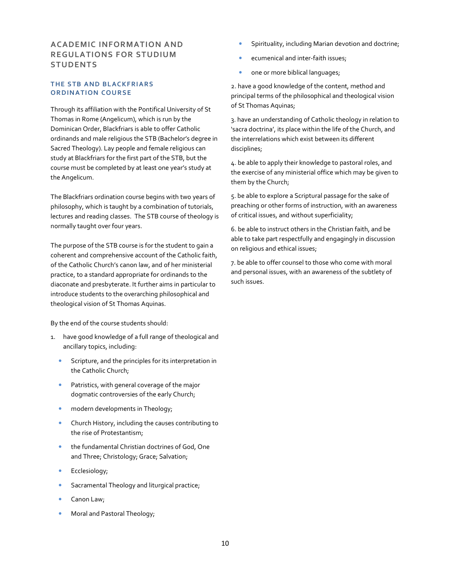# **ACADEMIC INFORMATION AND REGULATIONS FOR STUDIUM STUDENTS**

### **THE STB AND BLACKFRIARS ORDINATION COURSE**

Through its affiliation with the Pontifical University of St Thomas in Rome (Angelicum), which is run by the Dominican Order, Blackfriars is able to offer Catholic ordinands and male religious the STB (Bachelor's degree in Sacred Theology). Lay people and female religious can study at Blackfriars for the first part of the STB, but the course must be completed by at least one year's study at the Angelicum.

The Blackfriars ordination course begins with two years of philosophy, which is taught by a combination of tutorials, lectures and reading classes. The STB course of theology is normally taught over four years.

The purpose of the STB course is for the student to gain a coherent and comprehensive account of the Catholic faith, of the Catholic Church's canon law, and of her ministerial practice, to a standard appropriate for ordinands to the diaconate and presbyterate. It further aims in particular to introduce students to the overarching philosophical and theological vision of St Thomas Aquinas.

By the end of the course students should:

- 1. have good knowledge of a full range of theological and ancillary topics, including:
	- Scripture, and the principles for its interpretation in the Catholic Church;
	- Patristics, with general coverage of the major dogmatic controversies of the early Church;
	- modern developments in Theology;
	- Church History, including the causes contributing to the rise of Protestantism;
	- the fundamental Christian doctrines of God, One and Three; Christology; Grace; Salvation;
	- Ecclesiology;
	- Sacramental Theology and liturgical practice;
	- Canon Law;
	- Moral and Pastoral Theology;
- Spirituality, including Marian devotion and doctrine;
- ecumenical and inter-faith issues;
- one or more biblical languages;

2. have a good knowledge of the content, method and principal terms of the philosophical and theological vision of St Thomas Aquinas;

3. have an understanding of Catholic theology in relation to 'sacra doctrina', its place within the life of the Church, and the interrelations which exist between its different disciplines;

4. be able to apply their knowledge to pastoral roles, and the exercise of any ministerial office which may be given to them by the Church;

5. be able to explore a Scriptural passage for the sake of preaching or other forms of instruction, with an awareness of critical issues, and without superficiality;

6. be able to instruct others in the Christian faith, and be able to take part respectfully and engagingly in discussion on religious and ethical issues;

7. be able to offer counsel to those who come with moral and personal issues, with an awareness of the subtlety of such issues.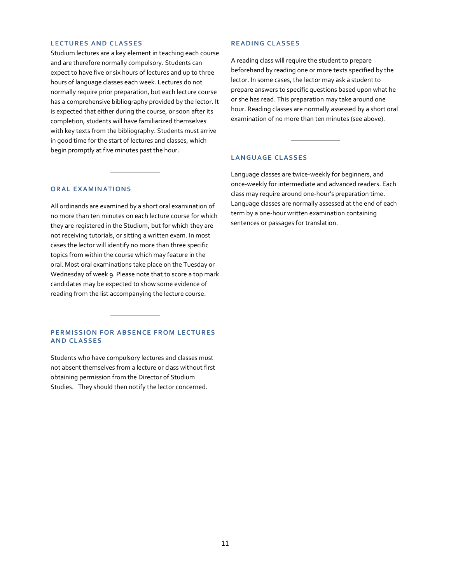#### **LECTURES AND CLASSES**

Studium lectures are a key element in teaching each course and are therefore normally compulsory. Students can expect to have five or six hours of lectures and up to three hours of language classes each week. Lectures do not normally require prior preparation, but each lecture course has a comprehensive bibliography provided by the lector. It is expected that either during the course, or soon after its completion, students will have familiarized themselves with key texts from the bibliography. Students must arrive in good time for the start of lectures and classes, which begin promptly at five minutes past the hour.

#### **ORAL EXAMINATIONS**

All ordinands are examined by a short oral examination of no more than ten minutes on each lecture course for which they are registered in the Studium, but for which they are not receiving tutorials, or sitting a written exam. In most cases the lector will identify no more than three specific topics from within the course which may feature in the oral. Most oral examinations take place on the Tuesday or Wednesday of week 9. Please note that to score a top mark candidates may be expected to show some evidence of reading from the list accompanying the lecture course.

#### **PERMISSION FOR ABSENCE FROM LECTURES AND CLASSES**

Students who have compulsory lectures and classes must not absent themselves from a lecture or class without first obtaining permission from the Director of Studium Studies. They should then notify the lector concerned.

#### **RE AD I N G C L AS S ES**

A reading class will require the student to prepare beforehand by reading one or more texts specified by the lector. In some cases, the lector may ask a student to prepare answers to specific questions based upon what he or she has read. This preparation may take around one hour. Reading classes are normally assessed by a short oral examination of no more than ten minutes (see above).

#### LANGUAGE CLASSES

Language classes are twice-weekly for beginners, and once-weekly for intermediate and advanced readers. Each class may require around one-hour's preparation time. Language classes are normally assessed at the end of each term by a one-hour written examination containing sentences or passages for translation.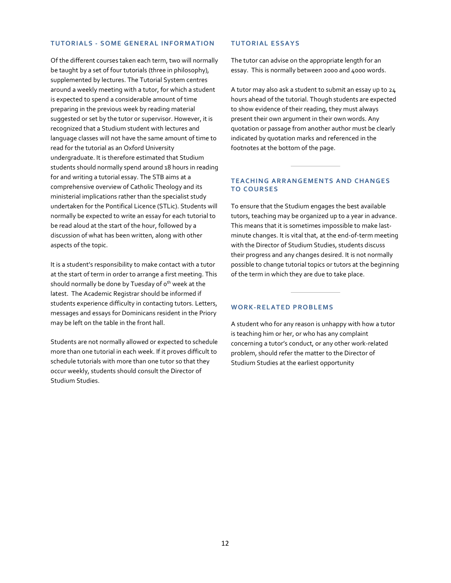### **TUTORIALS - SOME GENERAL INFORMATION**

Of the different courses taken each term, two will normally be taught by a set of four tutorials (three in philosophy), supplemented by lectures. The Tutorial System centres around a weekly meeting with a tutor, for which a student is expected to spend a considerable amount of time preparing in the previous week by reading material suggested or set by the tutor or supervisor. However, it is recognized that a Studium student with lectures and language classes will not have the same amount of time to read for the tutorial as an Oxford University undergraduate. It is therefore estimated that Studium students should normally spend around 18 hours in reading for and writing a tutorial essay. The STB aims at a comprehensive overview of Catholic Theology and its ministerial implications rather than the specialist study undertaken for the Pontifical Licence (STLic). Students will normally be expected to write an essay for each tutorial to be read aloud at the start of the hour, followed by a discussion of what has been written, along with other aspects of the topic.

It is a student's responsibility to make contact with a tutor at the start of term in order to arrange a first meeting. This should normally be done by Tuesday of o<sup>th</sup> week at the latest. The Academic Registrar should be informed if students experience difficulty in contacting tutors. Letters, messages and essays for Dominicans resident in the Priory may be left on the table in the front hall.

Students are not normally allowed or expected to schedule more than one tutorial in each week. If it proves difficult to schedule tutorials with more than one tutor so that they occur weekly, students should consult the Director of Studium Studies.

#### **TUTORIAL ESSAYS**

The tutor can advise on the appropriate length for an essay. This is normally between 2000 and 4000 words.

A tutor may also ask a student to submit an essay up to 24 hours ahead of the tutorial. Though students are expected to show evidence of their reading, they must always present their own argument in their own words. Any quotation or passage from another author must be clearly indicated by quotation marks and referenced in the footnotes at the bottom of the page.

#### **TEACHING ARRANGEMENTS AND CHANGES TO COURSES**

To ensure that the Studium engages the best available tutors, teaching may be organized up to a year in advance. This means that it is sometimes impossible to make lastminute changes. It is vital that, at the end-of-term meeting with the Director of Studium Studies, students discuss their progress and any changes desired. It is not normally possible to change tutorial topics or tutors at the beginning of the term in which they are due to take place.

#### WORK-RELATED PROBLEMS

A student who for any reason is unhappy with how a tutor is teaching him or her, or who has any complaint concerning a tutor's conduct, or any other work-related problem, should refer the matter to the Director of Studium Studies at the earliest opportunity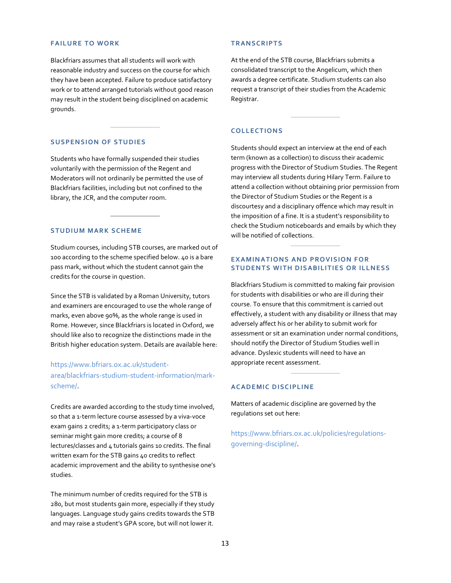#### **FAILURE TO WORK**

Blackfriars assumes that all students will work with reasonable industry and success on the course for which they have been accepted. Failure to produce satisfactory work or to attend arranged tutorials without good reason may result in the student being disciplined on academic grounds.

#### **SUSPENSION OF STUDIES**

Students who have formally suspended their studies voluntarily with the permission of the Regent and Moderators will not ordinarily be permitted the use of Blackfriars facilities, including but not confined to the library, the JCR, and the computer room.

# **STUDIUM MARK SCHEME**

Studium courses, including STB courses, are marked out of 100 according to the scheme specified below. 40 is a bare pass mark, without which the student cannot gain the credits for the course in question.

Since the STB is validated by a Roman University, tutors and examiners are encouraged to use the whole range of marks, even above 90%, as the whole range is used in Rome. However, since Blackfriars is located in Oxford, we should like also to recognize the distinctions made in the British higher education system. Details are available here:

# https://www.bfriars.ox.ac.uk/studentarea/blackfriars-studium-student-information/markscheme/.

Credits are awarded according to the study time involved, so that a 1-term lecture course assessed by a viva-voce exam gains 2 credits; a 1-term participatory class or seminar might gain more credits; a course of 8 lectures/classes and 4 tutorials gains 10 credits. The final written exam for the STB gains 40 credits to reflect academic improvement and the ability to synthesise one's studies.

The minimum number of credits required for the STB is 280, but most students gain more, especially if they study languages. Language study gains credits towards the STB and may raise a student's GPA score, but will not lower it.

#### **T R AN S C R IP T S**

At the end of the STB course, Blackfriars submits a consolidated transcript to the Angelicum, which then awards a degree certificate. Studium students can also request a transcript of their studies from the Academic Registrar.

#### **C OLL ECT ION S**

Students should expect an interview at the end of each term (known as a collection) to discuss their academic progress with the Director of Studium Studies. The Regent may interview all students during Hilary Term. Failure to attend a collection without obtaining prior permission from the Director of Studium Studies or the Regent is a discourtesy and a disciplinary offence which may result in the imposition of a fine. It is a student's responsibility to check the Studium noticeboards and emails by which they will be notified of collections.

# **EXAMINATIONS AND PROVISION FOR STUDENTS WITH DISABILITIES OR ILLNESS**

Blackfriars Studium is committed to making fair provision for students with disabilities or who are ill during their course. To ensure that this commitment is carried out effectively, a student with any disability or illness that may adversely affect his or her ability to submit work for assessment or sit an examination under normal conditions, should notify the Director of Studium Studies well in advance. Dyslexic students will need to have an appropriate recent assessment.

#### **ACADEMIC DISCIPLINE**

Matters of academic discipline are governed by the regulations set out here:

https://www.bfriars.ox.ac.uk/policies/regulationsgoverning-discipline/.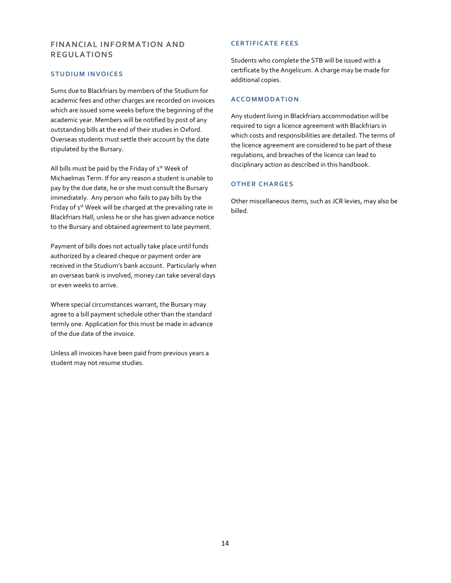# **FINANCIAL INFORMATION AND REGULATIONS**

# **S TU DIU M IN V OIC ES**

Sums due to Blackfriars by members of the Studium for academic fees and other charges are recorded on invoices which are issued some weeks before the beginning of the academic year. Members will be notified by post of any outstanding bills at the end of their studies in Oxford. Overseas students must settle their account by the date stipulated by the Bursary.

All bills must be paid by the Friday of  $1<sup>st</sup>$  Week of Michaelmas Term. If for any reason a student is unable to pay by the due date, he or she must consult the Bursary immediately. Any person who fails to pay bills by the Friday of 1<sup>st</sup> Week will be charged at the prevailing rate in Blackfriars Hall, unless he or she has given advance notice to the Bursary and obtained agreement to late payment.

Payment of bills does not actually take place until funds authorized by a cleared cheque or payment order are received in the Studium's bank account. Particularly when an overseas bank is involved, money can take several days or even weeks to arrive.

Where special circumstances warrant, the Bursary may agree to a bill payment schedule other than the standard termly one. Application for this must be made in advance of the due date of the invoice.

Unless all invoices have been paid from previous years a student may not resume studies.

# **CERTIFICATE FEES**

Students who complete the STB will be issued with a certificate by the Angelicum. A charge may be made for additional copies.

# **AC C O M MOD AT ION**

Any student living in Blackfriars accommodation will be required to sign a licence agreement with Blackfriars in which costs and responsibilities are detailed. The terms of the licence agreement are considered to be part of these regulations, and breaches of the licence can lead to disciplinary action as described in this handbook.

# **OTHER CHARGES**

Other miscellaneous items, such as JCR levies, may also be billed.